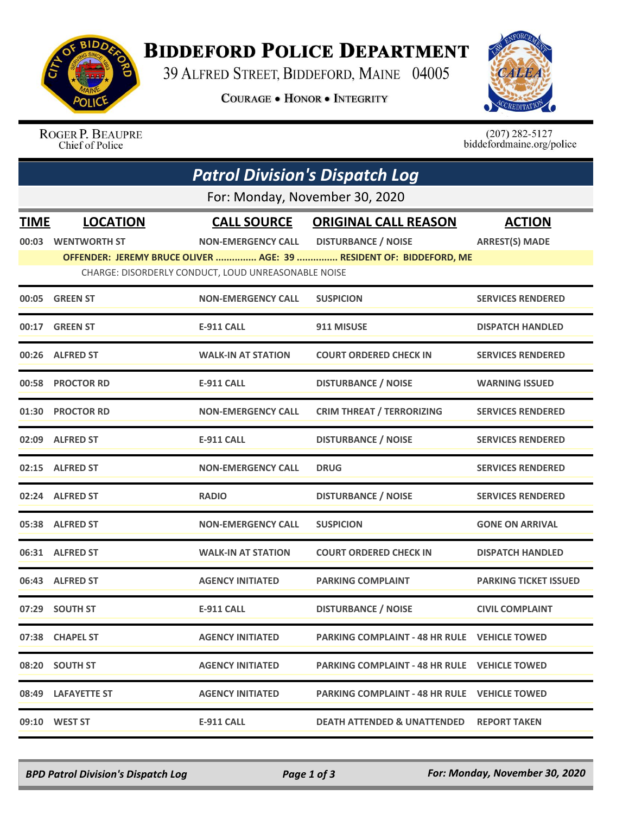

## **BIDDEFORD POLICE DEPARTMENT**

39 ALFRED STREET, BIDDEFORD, MAINE 04005

**COURAGE . HONOR . INTEGRITY** 



ROGER P. BEAUPRE Chief of Police

 $(207)$  282-5127<br>biddefordmaine.org/police

|             | <b>Patrol Division's Dispatch Log</b> |                                                     |                                                                    |                              |  |  |  |
|-------------|---------------------------------------|-----------------------------------------------------|--------------------------------------------------------------------|------------------------------|--|--|--|
|             | For: Monday, November 30, 2020        |                                                     |                                                                    |                              |  |  |  |
| <b>TIME</b> | <b>LOCATION</b>                       | <b>CALL SOURCE</b>                                  | <b>ORIGINAL CALL REASON</b>                                        | <b>ACTION</b>                |  |  |  |
| 00:03       | <b>WENTWORTH ST</b>                   | <b>NON-EMERGENCY CALL</b>                           | <b>DISTURBANCE / NOISE</b>                                         | <b>ARREST(S) MADE</b>        |  |  |  |
|             |                                       | CHARGE: DISORDERLY CONDUCT, LOUD UNREASONABLE NOISE | OFFENDER: JEREMY BRUCE OLIVER  AGE: 39  RESIDENT OF: BIDDEFORD, ME |                              |  |  |  |
| 00:05       | <b>GREEN ST</b>                       | <b>NON-EMERGENCY CALL</b>                           | <b>SUSPICION</b>                                                   | <b>SERVICES RENDERED</b>     |  |  |  |
|             | 00:17 GREEN ST                        | E-911 CALL                                          | 911 MISUSE                                                         | <b>DISPATCH HANDLED</b>      |  |  |  |
|             | 00:26 ALFRED ST                       | <b>WALK-IN AT STATION</b>                           | <b>COURT ORDERED CHECK IN</b>                                      | <b>SERVICES RENDERED</b>     |  |  |  |
| 00:58       | <b>PROCTOR RD</b>                     | <b>E-911 CALL</b>                                   | <b>DISTURBANCE / NOISE</b>                                         | <b>WARNING ISSUED</b>        |  |  |  |
| 01:30       | <b>PROCTOR RD</b>                     | <b>NON-EMERGENCY CALL</b>                           | <b>CRIM THREAT / TERRORIZING</b>                                   | <b>SERVICES RENDERED</b>     |  |  |  |
| 02:09       | <b>ALFRED ST</b>                      | <b>E-911 CALL</b>                                   | <b>DISTURBANCE / NOISE</b>                                         | <b>SERVICES RENDERED</b>     |  |  |  |
|             | 02:15 ALFRED ST                       | <b>NON-EMERGENCY CALL</b>                           | <b>DRUG</b>                                                        | <b>SERVICES RENDERED</b>     |  |  |  |
|             | 02:24 ALFRED ST                       | <b>RADIO</b>                                        | <b>DISTURBANCE / NOISE</b>                                         | <b>SERVICES RENDERED</b>     |  |  |  |
|             | 05:38 ALFRED ST                       | <b>NON-EMERGENCY CALL</b>                           | <b>SUSPICION</b>                                                   | <b>GONE ON ARRIVAL</b>       |  |  |  |
|             | 06:31 ALFRED ST                       | <b>WALK-IN AT STATION</b>                           | <b>COURT ORDERED CHECK IN</b>                                      | <b>DISPATCH HANDLED</b>      |  |  |  |
| 06:43       | <b>ALFRED ST</b>                      | <b>AGENCY INITIATED</b>                             | <b>PARKING COMPLAINT</b>                                           | <b>PARKING TICKET ISSUED</b> |  |  |  |
|             | 07:29 SOUTH ST                        | <b>E-911 CALL</b>                                   | <b>DISTURBANCE / NOISE</b>                                         | <b>CIVIL COMPLAINT</b>       |  |  |  |
|             | 07:38 CHAPEL ST                       | <b>AGENCY INITIATED</b>                             | <b>PARKING COMPLAINT - 48 HR RULE VEHICLE TOWED</b>                |                              |  |  |  |
|             | 08:20 SOUTH ST                        | <b>AGENCY INITIATED</b>                             | <b>PARKING COMPLAINT - 48 HR RULE VEHICLE TOWED</b>                |                              |  |  |  |
|             | 08:49 LAFAYETTE ST                    | <b>AGENCY INITIATED</b>                             | <b>PARKING COMPLAINT - 48 HR RULE VEHICLE TOWED</b>                |                              |  |  |  |
|             | 09:10 WEST ST                         | E-911 CALL                                          | <b>DEATH ATTENDED &amp; UNATTENDED REPORT TAKEN</b>                |                              |  |  |  |

*BPD Patrol Division's Dispatch Log Page 1 of 3 For: Monday, November 30, 2020*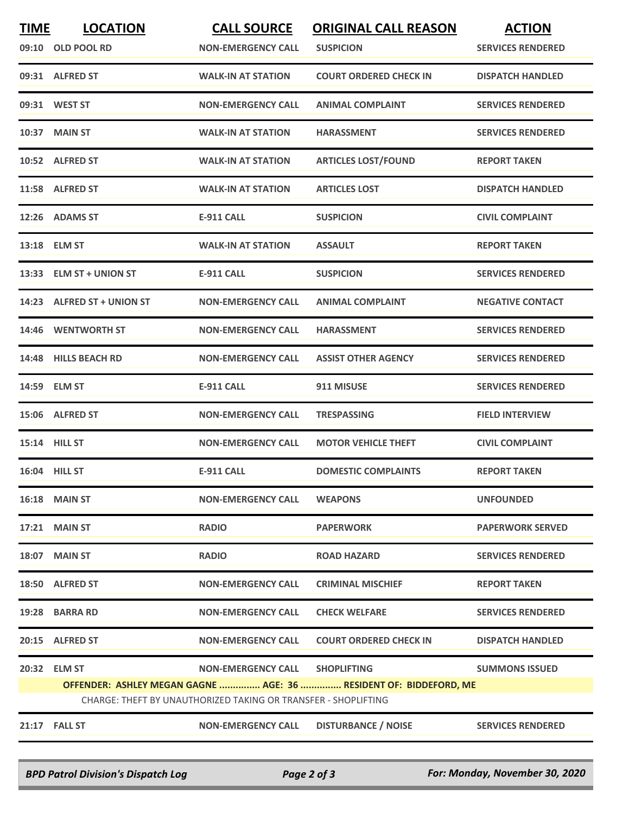| <b>TIME</b>   | <b>LOCATION</b>                                                                                                                     | <b>CALL SOURCE</b>             | <b>ORIGINAL CALL REASON</b>   | <b>ACTION</b>            |  |  |  |
|---------------|-------------------------------------------------------------------------------------------------------------------------------------|--------------------------------|-------------------------------|--------------------------|--|--|--|
| 09:10         | <b>OLD POOL RD</b>                                                                                                                  | <b>NON-EMERGENCY CALL</b>      | <b>SUSPICION</b>              | <b>SERVICES RENDERED</b> |  |  |  |
|               | 09:31 ALFRED ST                                                                                                                     | <b>WALK-IN AT STATION</b>      | <b>COURT ORDERED CHECK IN</b> | <b>DISPATCH HANDLED</b>  |  |  |  |
|               | 09:31 WEST ST                                                                                                                       | <b>NON-EMERGENCY CALL</b>      | <b>ANIMAL COMPLAINT</b>       | <b>SERVICES RENDERED</b> |  |  |  |
|               | 10:37 MAIN ST                                                                                                                       | <b>WALK-IN AT STATION</b>      | <b>HARASSMENT</b>             | <b>SERVICES RENDERED</b> |  |  |  |
|               | 10:52 ALFRED ST                                                                                                                     | <b>WALK-IN AT STATION</b>      | <b>ARTICLES LOST/FOUND</b>    | <b>REPORT TAKEN</b>      |  |  |  |
|               | 11:58 ALFRED ST                                                                                                                     | <b>WALK-IN AT STATION</b>      | <b>ARTICLES LOST</b>          | <b>DISPATCH HANDLED</b>  |  |  |  |
|               | 12:26 ADAMS ST                                                                                                                      | <b>E-911 CALL</b>              | <b>SUSPICION</b>              | <b>CIVIL COMPLAINT</b>   |  |  |  |
|               | 13:18 ELM ST                                                                                                                        | <b>WALK-IN AT STATION</b>      | <b>ASSAULT</b>                | <b>REPORT TAKEN</b>      |  |  |  |
|               | 13:33 ELM ST + UNION ST                                                                                                             | <b>E-911 CALL</b>              | <b>SUSPICION</b>              | <b>SERVICES RENDERED</b> |  |  |  |
|               | 14:23 ALFRED ST + UNION ST                                                                                                          | <b>NON-EMERGENCY CALL</b>      | <b>ANIMAL COMPLAINT</b>       | <b>NEGATIVE CONTACT</b>  |  |  |  |
| 14:46         | <b>WENTWORTH ST</b>                                                                                                                 | <b>NON-EMERGENCY CALL</b>      | <b>HARASSMENT</b>             | <b>SERVICES RENDERED</b> |  |  |  |
|               | 14:48 HILLS BEACH RD                                                                                                                | <b>NON-EMERGENCY CALL</b>      | <b>ASSIST OTHER AGENCY</b>    | <b>SERVICES RENDERED</b> |  |  |  |
|               | 14:59 ELM ST                                                                                                                        | <b>E-911 CALL</b>              | 911 MISUSE                    | <b>SERVICES RENDERED</b> |  |  |  |
|               | 15:06 ALFRED ST                                                                                                                     | <b>NON-EMERGENCY CALL</b>      | <b>TRESPASSING</b>            | <b>FIELD INTERVIEW</b>   |  |  |  |
| 15:14 HILL ST |                                                                                                                                     | <b>NON-EMERGENCY CALL</b>      | <b>MOTOR VEHICLE THEFT</b>    | <b>CIVIL COMPLAINT</b>   |  |  |  |
| 16:04 HILL ST |                                                                                                                                     | <b>E-911 CALL</b>              | <b>DOMESTIC COMPLAINTS</b>    | <b>REPORT TAKEN</b>      |  |  |  |
|               | <b>16:18 MAIN ST</b>                                                                                                                | <b>NON-EMERGENCY CALL</b>      | <b>WEAPONS</b>                | <b>UNFOUNDED</b>         |  |  |  |
|               | <b>17:21 MAIN ST</b>                                                                                                                | <b>RADIO</b>                   | <b>PAPERWORK</b>              | <b>PAPERWORK SERVED</b>  |  |  |  |
|               | 18:07 MAIN ST                                                                                                                       | <b>RADIO</b>                   | <b>ROAD HAZARD</b>            | <b>SERVICES RENDERED</b> |  |  |  |
|               | 18:50 ALFRED ST                                                                                                                     | <b>NON-EMERGENCY CALL</b>      | <b>CRIMINAL MISCHIEF</b>      | <b>REPORT TAKEN</b>      |  |  |  |
|               | 19:28 BARRA RD                                                                                                                      | <b>NON-EMERGENCY CALL</b>      | <b>CHECK WELFARE</b>          | <b>SERVICES RENDERED</b> |  |  |  |
|               | 20:15 ALFRED ST                                                                                                                     | <b>NON-EMERGENCY CALL</b>      | <b>COURT ORDERED CHECK IN</b> | <b>DISPATCH HANDLED</b>  |  |  |  |
|               | 20:32 ELM ST                                                                                                                        | NON-EMERGENCY CALL SHOPLIFTING |                               | <b>SUMMONS ISSUED</b>    |  |  |  |
|               | OFFENDER: ASHLEY MEGAN GAGNE  AGE: 36  RESIDENT OF: BIDDEFORD, ME<br>CHARGE: THEFT BY UNAUTHORIZED TAKING OR TRANSFER - SHOPLIFTING |                                |                               |                          |  |  |  |
|               |                                                                                                                                     |                                |                               |                          |  |  |  |
|               | <b>21:17 FALL ST</b>                                                                                                                | <b>NON-EMERGENCY CALL</b>      | <b>DISTURBANCE / NOISE</b>    | <b>SERVICES RENDERED</b> |  |  |  |

*BPD Patrol Division's Dispatch Log Page 2 of 3 For: Monday, November 30, 2020*